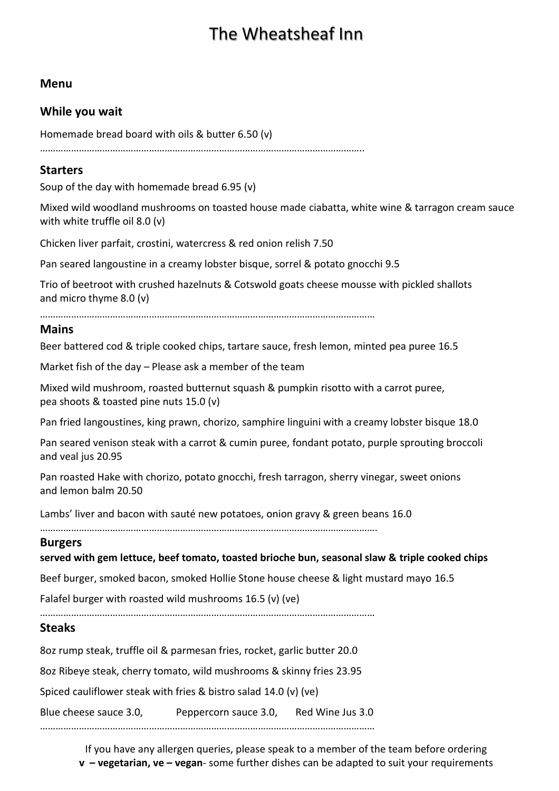# The Wheatsheaf Inn

#### **Menu**

#### **While you wait**

Homemade bread board with oils & butter 6.50 (v)

……………………………………………………………………………………………………………..

#### **Starters**

Soup of the day with homemade bread 6.95 (v)

Mixed wild woodland mushrooms on toasted house made ciabatta, white wine & tarragon cream sauce with white truffle oil 8.0 (v)

Chicken liver parfait, crostini, watercress & red onion relish 7.50

Pan seared langoustine in a creamy lobster bisque, sorrel & potato gnocchi 9.5

Trio of beetroot with crushed hazelnuts & Cotswold goats cheese mousse with pickled shallots and micro thyme 8.0 (v)

…………………………………………………………………………………………………………………

#### **Mains**

Beer battered cod & triple cooked chips, tartare sauce, fresh lemon, minted pea puree 16.5

Market fish of the day – Please ask a member of the team

Mixed wild mushroom, roasted butternut squash & pumpkin risotto with a carrot puree, pea shoots & toasted pine nuts 15.0 (v)

Pan fried langoustines, king prawn, chorizo, samphire linguini with a creamy lobster bisque 18.0

Pan seared venison steak with a carrot & cumin puree, fondant potato, purple sprouting broccoli and veal jus 20.95

Pan roasted Hake with chorizo, potato gnocchi, fresh tarragon, sherry vinegar, sweet onions and lemon balm 20.50

Lambs' liver and bacon with sauté new potatoes, onion gravy & green beans 16.0

………………………………………………………………………………………………………………….

#### **Burgers**

#### **served with gem lettuce, beef tomato, toasted brioche bun, seasonal slaw & triple cooked chips**

Beef burger, smoked bacon, smoked Hollie Stone house cheese & light mustard mayo 16.5

Falafel burger with roasted wild mushrooms 16.5 (v) (ve)

…………………………………………………………………………………………………………………

#### **Steaks**

8oz rump steak, truffle oil & parmesan fries, rocket, garlic butter 20.0

8oz Ribeye steak, cherry tomato, wild mushrooms & skinny fries 23.95

Spiced cauliflower steak with fries & bistro salad 14.0 (v) (ve)

Blue cheese sauce 3.0, Peppercorn sauce 3.0, Red Wine Jus 3.0

…………………………………………………………………………………………………………………

If you have any allergen queries, please speak to a member of the team before ordering **v – vegetarian, ve – vegan**- some further dishes can be adapted to suit your requirements